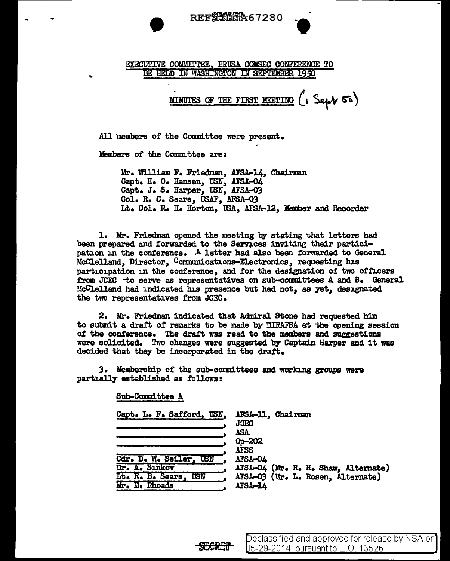

#### EXECUTIVE COMMITTEE, BRUSA COlrSEC CONFERENCE TO BE HELD IN WASHINGTON IN SEPTEMBER 1950

MINUTES OF THE FIRST MEETING  $\left( \cdot \right)$  Sept 50)

All members of the Committee were present.

Members of the Committee are:

Mr. William F. Friedman, AFSA-14, Chairman Capt. H. O. Hansen, USN, AFSA-04 Capt. J. S. Harper. USN. AFSA-03 Col. R. C. Sears, USAF, AFSA-03 Lt. Col. R. H. Horton, USA, AFSA-l.2, Member and Recorder

1. Mr. Friedman opened the meeting by stating that letters had been prepared and forwarded to the Services inviting their participation in the conference. A letter had also been forwarded to General McClelland, Director, Communications-Electronics, requesting his participation in the conference, and for the designation of two officers from JCEC -to serve as representatives on sub-committees A and B. General McClelland had indicated his presence but had not, as yet, designated the two representatives from JCEC.

2. Mr. Friedman indicated that Admiral Stone had requested him to submit a draft of remarks to be made by DIRAFSA at the opening session of the conference. The draft was read to the members and suggestions. were solicited. Two changes were suggested by Captain Harper and it was decided that they be incorporated in the draft.

*3.* Membership of' the sub-committees and working groups were partially established as follows:

Sub-Committee A

| Capt. L. F. Safford, USN. | AFSA-11, Chairman<br><b>JCEC</b>    |
|---------------------------|-------------------------------------|
|                           | ASA                                 |
|                           | Op-202                              |
|                           | <b>AFSS</b>                         |
| Cdr. D. W. Seiler, USN    | AFSA-04                             |
| Dr. A. Sınkov             | AFSA-04 (Mr. R. H. Shaw, Alternate) |
| Lt. R. B. Sears, USN      | AFSA-03 (Mr. L. Rosen, Alternate)   |
| Mr. N. Rhoads             | AFSA-14                             |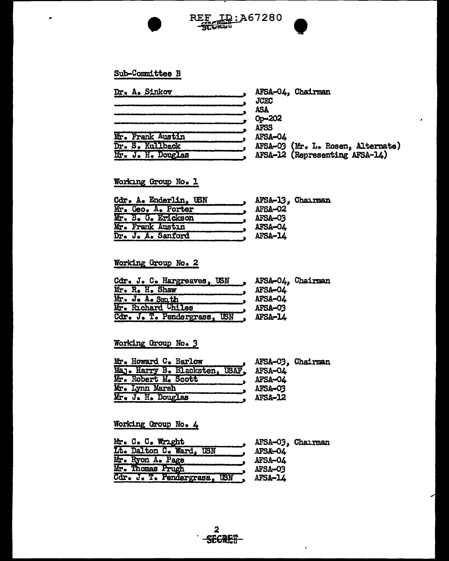

REF ID:A67280<br>SCCRET

### Sub-Committee B

 $\bullet$ 

| <b>Dr. A. Sinkov</b> | <b>JCEC</b>           | AFSA-04, Chairman                 |
|----------------------|-----------------------|-----------------------------------|
|                      | ASA                   |                                   |
|                      | Op-202<br><b>AFSS</b> |                                   |
| Mr. Frank Austin     | AFSA-04               |                                   |
| Dr. S. Kullback      |                       | AFSA-03 (Mr. L. Rosen, Alternate) |
| Mr. J. H. Douglas    |                       | AFSA-12 (Representing AFSA-14)    |

### Working Group No. 1

| Cdr. A. Enderlin, USN | AFSA-13, Chairman |
|-----------------------|-------------------|
| Mr. Geo. A. Porter    | AFSA-02           |
| Mr. B. G. Erickson    | <b>AFSA-03</b>    |
| Mr. Frank Austin      | <b>AFSA-04</b>    |
| Dr. J. A. Sanford     | AFSA-L4           |

# Working Group No. 2

| Cdr. J. C. Hargreaves, USN  |         | AFSA-04, Chairman |
|-----------------------------|---------|-------------------|
| Mr. R. H. Shaw              | AFSA-04 |                   |
| Mr. J. A. Smith             | AFSA-04 |                   |
| Mr. Richard Chiles          | AFSA-03 |                   |
| Cdr. J. T. Pendergrass, USN | AFSA-14 |                   |

### Working Group No. 3

|                     | Mr. Howard C. Barlow                   |         | AFSA-03, Chairman |
|---------------------|----------------------------------------|---------|-------------------|
|                     | Maj. Harry B. Blacksten, USAF. AFSA-04 |         |                   |
| Mr. Robert M. Scott |                                        | AFSA-04 |                   |
| Mr. Lynn Marsh      |                                        | AFSA-03 |                   |
| Mr. J. H. Douglas   |                                        | AFSA-12 |                   |

## Working Group No. 4

| Mr. C. C. Wright             | AFSA-03, Chairman |
|------------------------------|-------------------|
| Lt. Dalton C. Ward, USN      | <b>AFSA-O4</b>    |
| Mr. Ryon A. Page             | <b>AFSA-04</b>    |
| Mr. Thomas Prugh             | AFSA-03           |
| Cdr. J. T. Pendergrass., USN | AFSA-14           |

 $\mathbf{r}$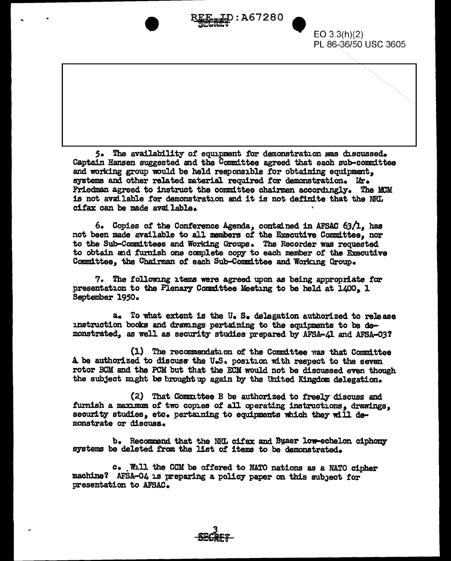**LD:A67280** 



5. The availability of equipment for demonstration was discussed. Captain Hansen suggested and the Committee agreed that each sub-committee and working group would be held responsible for obtaining equipment. systems and other related material required for demonstration. Mr. Friedman agreed to instruct the committee chairmen accordingly. The MCM is not available for demonstration and it is not definite that the NRL cifax can be made available.

6. Copies of the Conference Agenda, contained in AFSAC 63/1, has not been made available to all members of the Executive Committee. nor to the Sub-Committees and Working Groups. The Recorder was requested to obtain and furnish one complete copy to each member of the Executive Committee, the Chairman of each Sub-Committee and Working Group.

7. The following items were agreed upon as being appropriate for presentation to the Plenary Committee Meeting to be held at 1400. 1 September 1950.

a. To what extent is the U.S. delegation authorized to release instruction books and drawings pertaining to the equipments to be demonstrated, as well as security studies prepared by AFSA-41 and AFSA-03?

(1) The recommendation of the Committee was that Committee A be authorized to discuss the U.S. position with respect to the seven rotor BCM and the PCM but that the ECM would not be discussed even though the subject might be brought up again by the United Kingdom delegation.

(2) That Committee B be authorized to freely discuss and furnish a maximum of two copies of all operating instructions. drawings. security studies, etc. pertaining to equipments which they will demonstrate or discusa.

b. Recommend that the NRL cifax and Byaer low-echelon ciphony systems be deleted from the list of items to be demonstrated.

c. Whill the CCM be offered to NATO nations as a NATO cipher machine? AFSA-04 is preparing a policy paper on this subject for presentation to AFSAC.